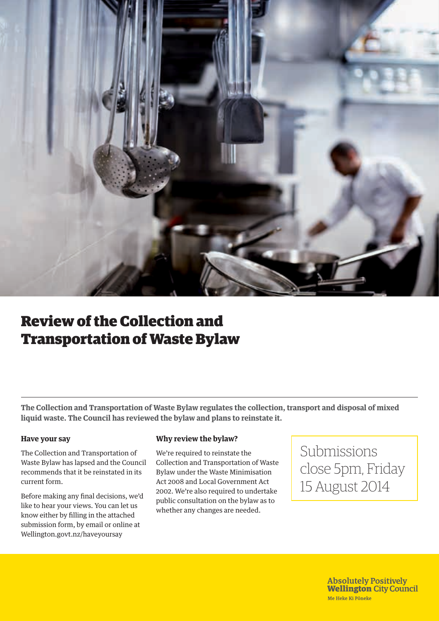

## Review of the Collection and Transportation of Waste Bylaw

**The Collection and Transportation of Waste Bylaw regulates the collection, transport and disposal of mixed liquid waste. The Council has reviewed the bylaw and plans to reinstate it.**

## **Have your say**

The Collection and Transportation of Waste Bylaw has lapsed and the Council recommends that it be reinstated in its current form.

Before making any final decisions, we'd like to hear your views. You can let us know either by filling in the attached submission form, by email or online at Wellington.govt.nz/haveyoursay

## **Why review the bylaw?**

We're required to reinstate the Collection and Transportation of Waste Bylaw under the Waste Minimisation Act 2008 and Local Government Act 2002. We're also required to undertake public consultation on the bylaw as to whether any changes are needed.

Submissions close 5pm, Friday 15 August 2014

> **Absolutely Positively Wellington City Council** Me Heke Ki Põneke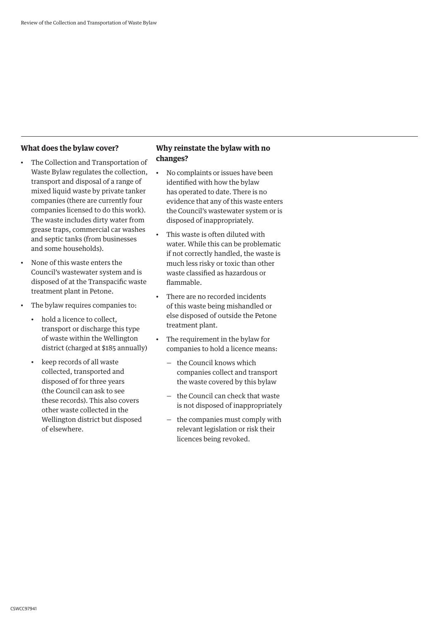## **What does the bylaw cover?**

- The Collection and Transportation of Waste Bylaw regulates the collection, transport and disposal of a range of mixed liquid waste by private tanker companies (there are currently four companies licensed to do this work). The waste includes dirty water from grease traps, commercial car washes and septic tanks (from businesses and some households).
- None of this waste enters the Council's wastewater system and is disposed of at the Transpacific waste treatment plant in Petone.
- The bylaw requires companies to:
	- hold a licence to collect, transport or discharge this type of waste within the Wellington district (charged at \$185 annually)
	- keep records of all waste collected, transported and disposed of for three years (the Council can ask to see these records). This also covers other waste collected in the Wellington district but disposed of elsewhere.

## **Why reinstate the bylaw with no changes?**

- No complaints or issues have been identified with how the bylaw has operated to date. There is no evidence that any of this waste enters the Council's wastewater system or is disposed of inappropriately.
- This waste is often diluted with water. While this can be problematic if not correctly handled, the waste is much less risky or toxic than other waste classified as hazardous or flammable.
- There are no recorded incidents of this waste being mishandled or else disposed of outside the Petone treatment plant.
- The requirement in the bylaw for companies to hold a licence means:
	- the Council knows which companies collect and transport the waste covered by this bylaw
	- the Council can check that waste is not disposed of inappropriately
	- the companies must comply with relevant legislation or risk their licences being revoked.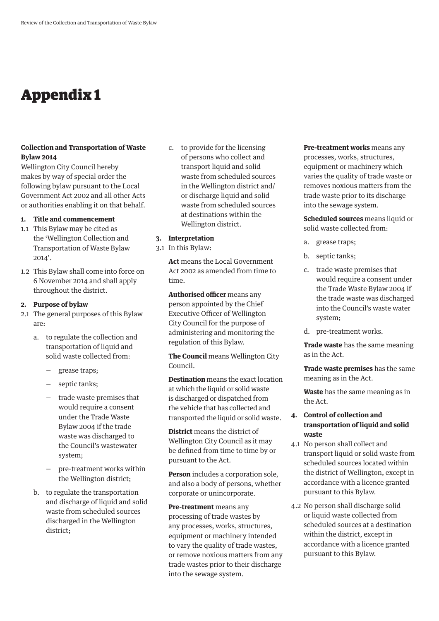## Appendix 1

## **Collection and Transportation of Waste Bylaw 2014**

Wellington City Council hereby makes by way of special order the following bylaw pursuant to the Local Government Act 2002 and all other Acts or authorities enabling it on that behalf.

## **1. Title and commencement**

- 1.1 This Bylaw may be cited as the 'Wellington Collection and Transportation of Waste Bylaw 2014'.
- 1.2 This Bylaw shall come into force on 6 November 2014 and shall apply throughout the district.

#### **2. Purpose of bylaw**

- 2.1 The general purposes of this Bylaw are:
	- a. to regulate the collection and transportation of liquid and solid waste collected from:
		- grease traps;
		- septic tanks;
		- trade waste premises that would require a consent under the Trade Waste Bylaw 2004 if the trade waste was discharged to the Council's wastewater system;
		- pre-treatment works within the Wellington district;
	- b. to regulate the transportation and discharge of liquid and solid waste from scheduled sources discharged in the Wellington district;

c. to provide for the licensing of persons who collect and transport liquid and solid waste from scheduled sources in the Wellington district and/ or discharge liquid and solid waste from scheduled sources at destinations within the Wellington district.

#### **3. Interpretation**

3.1 In this Bylaw:

**Act** means the Local Government Act 2002 as amended from time to time.

**Authorised officer** means any person appointed by the Chief Executive Officer of Wellington City Council for the purpose of administering and monitoring the regulation of this Bylaw.

**The Council** means Wellington City Council.

**Destination** means the exact location at which the liquid or solid waste is discharged or dispatched from the vehicle that has collected and transported the liquid or solid waste.

**District** means the district of Wellington City Council as it may be defined from time to time by or pursuant to the Act.

**Person** includes a corporation sole, and also a body of persons, whether corporate or unincorporate.

**Pre-treatment** means any processing of trade wastes by any processes, works, structures, equipment or machinery intended to vary the quality of trade wastes, or remove noxious matters from any trade wastes prior to their discharge into the sewage system.

**Pre-treatment works** means any processes, works, structures, equipment or machinery which varies the quality of trade waste or removes noxious matters from the trade waste prior to its discharge into the sewage system.

**Scheduled sources** means liquid or solid waste collected from:

- a. grease traps;
- b. septic tanks;
- c. trade waste premises that would require a consent under the Trade Waste Bylaw 2004 if the trade waste was discharged into the Council's waste water system;
- d. pre-treatment works.

**Trade waste** has the same meaning as in the Act.

**Trade waste premises** has the same meaning as in the Act.

**Waste** has the same meaning as in the Act.

## **4. Control of collection and transportation of liquid and solid waste**

- 4.1 No person shall collect and transport liquid or solid waste from scheduled sources located within the district of Wellington, except in accordance with a licence granted pursuant to this Bylaw.
- 4.2 No person shall discharge solid or liquid waste collected from scheduled sources at a destination within the district, except in accordance with a licence granted pursuant to this Bylaw.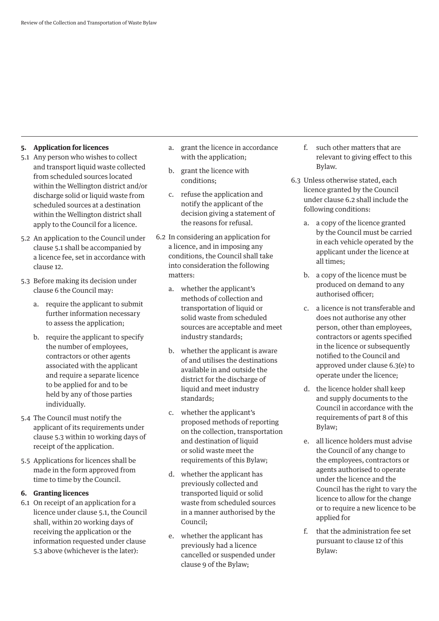### **5. Application for licences**

- 5.1 Any person who wishes to collect and transport liquid waste collected from scheduled sources located within the Wellington district and/or discharge solid or liquid waste from scheduled sources at a destination within the Wellington district shall apply to the Council for a licence.
- 5.2 An application to the Council under clause 5.1 shall be accompanied by a licence fee, set in accordance with clause 12.
- 5.3 Before making its decision under clause 6 the Council may:
	- a. require the applicant to submit further information necessary to assess the application;
	- b. require the applicant to specify the number of employees, contractors or other agents associated with the applicant and require a separate licence to be applied for and to be held by any of those parties individually.
- 5.4 The Council must notify the applicant of its requirements under clause 5.3 within 10 working days of receipt of the application.
- 5.5 Applications for licences shall be made in the form approved from time to time by the Council.

#### **6. Granting licences**

6.1 On receipt of an application for a licence under clause 5.1, the Council shall, within 20 working days of receiving the application or the information requested under clause 5.3 above (whichever is the later):

- a. grant the licence in accordance with the application;
- b. grant the licence with conditions;
- c. refuse the application and notify the applicant of the decision giving a statement of the reasons for refusal.
- 6.2 In considering an application for a licence, and in imposing any conditions, the Council shall take into consideration the following matters:
	- a. whether the applicant's methods of collection and transportation of liquid or solid waste from scheduled sources are acceptable and meet industry standards;
	- b. whether the applicant is aware of and utilises the destinations available in and outside the district for the discharge of liquid and meet industry standards;
	- c. whether the applicant's proposed methods of reporting on the collection, transportation and destination of liquid or solid waste meet the requirements of this Bylaw;
	- d. whether the applicant has previously collected and transported liquid or solid waste from scheduled sources in a manner authorised by the Council;
	- e. whether the applicant has previously had a licence cancelled or suspended under clause 9 of the Bylaw;
- f. such other matters that are relevant to giving effect to this Bylaw.
- 6.3 Unless otherwise stated, each licence granted by the Council under clause 6.2 shall include the following conditions:
	- a. a copy of the licence granted by the Council must be carried in each vehicle operated by the applicant under the licence at all times;
	- b. a copy of the licence must be produced on demand to any authorised officer;
	- c. a licence is not transferable and does not authorise any other person, other than employees, contractors or agents specified in the licence or subsequently notified to the Council and approved under clause 6.3(e) to operate under the licence;
	- d. the licence holder shall keep and supply documents to the Council in accordance with the requirements of part 8 of this Bylaw;
	- e. all licence holders must advise the Council of any change to the employees, contractors or agents authorised to operate under the licence and the Council has the right to vary the licence to allow for the change or to require a new licence to be applied for
	- f. that the administration fee set pursuant to clause 12 of this Bylaw: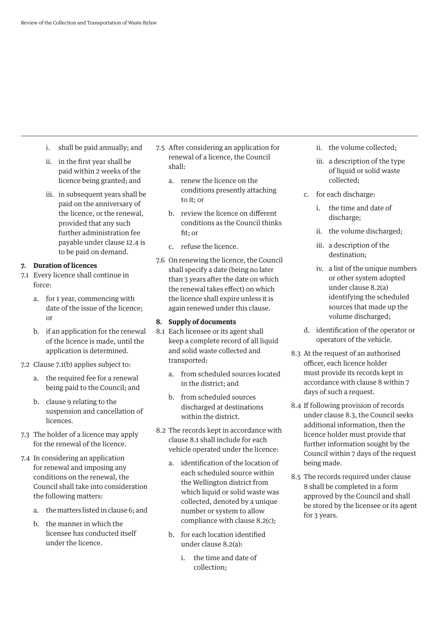- i. shall be paid annually; and
- ii. in the first year shall be paid within 2 weeks of the licence being granted; and
- iii. in subsequent years shall be paid on the anniversary of the licence, or the renewal, provided that any such further administration fee payable under clause 12.4 is to be paid on demand.

#### **7. Duration of licences**

- 7.1 Every licence shall continue in force:
	- a. for 1 year, commencing with date of the issue of the licence;  $\alpha$ r
	- b. if an application for the renewal of the licence is made, until the application is determined.
- 7.2 Clause 7.1(b) applies subject to:
	- a. the required fee for a renewal being paid to the Council; and
	- b. clause 9 relating to the suspension and cancellation of licences.
- 7.3 The holder of a licence may apply for the renewal of the licence.
- 7.4 In considering an application for renewal and imposing any conditions on the renewal, the Council shall take into consideration the following matters:
	- a. the matters listed in clause 6; and
	- b. the manner in which the licensee has conducted itself under the licence.
- 7.5 After considering an application for renewal of a licence, the Council shall:
	- a. renew the licence on the conditions presently attaching to it; or
	- b. review the licence on different conditions as the Council thinks fit; or
	- c. refuse the licence.
- 7.6 On renewing the licence, the Council shall specify a date (being no later than 3 years after the date on which the renewal takes effect) on which the licence shall expire unless it is again renewed under this clause.

### **8. Supply of documents**

- 8.1 Each licensee or its agent shall keep a complete record of all liquid and solid waste collected and transported:
	- a. from scheduled sources located in the district; and
	- b. from scheduled sources discharged at destinations within the district.
- 8.2 The records kept in accordance with clause 8.1 shall include for each vehicle operated under the licence:
	- a. identification of the location of each scheduled source within the Wellington district from which liquid or solid waste was collected, denoted by a unique number or system to allow compliance with clause 8.2(c);
	- b. for each location identified under clause 8.2(a):
		- i. the time and date of collection;
- ii. the volume collected;
- iii. a description of the type of liquid or solid waste collected;
- c. for each discharge:
	- i. the time and date of discharge;
	- ii. the volume discharged;
	- iii. a description of the destination;
	- iv. a list of the unique numbers or other system adopted under clause 8.2(a) identifying the scheduled sources that made up the volume discharged;
- d. identification of the operator or operators of the vehicle.
- 8.3 At the request of an authorised officer, each licence holder must provide its records kept in accordance with clause 8 within 7 days of such a request.
- 8.4 If following provision of records under clause 8.3, the Council seeks additional information, then the licence holder must provide that further information sought by the Council within 7 days of the request being made.
- 8.5 The records required under clause 8 shall be completed in a form approved by the Council and shall be stored by the licensee or its agent for 3 years.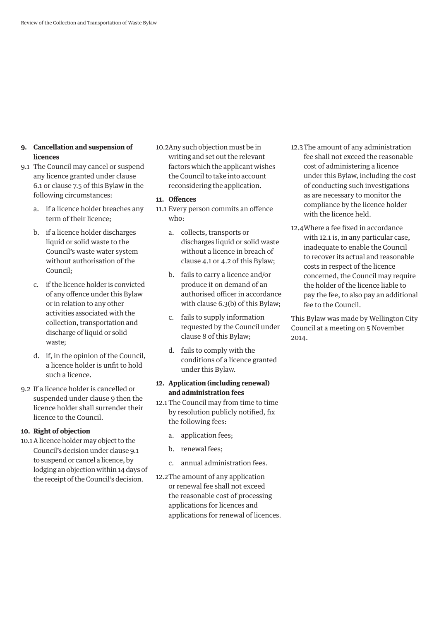## **9. Cancellation and suspension of licences**

- 9.1 The Council may cancel or suspend any licence granted under clause 6.1 or clause 7.5 of this Bylaw in the following circumstances:
	- a. if a licence holder breaches any term of their licence;
	- b. if a licence holder discharges liquid or solid waste to the Council's waste water system without authorisation of the Council;
	- c. if the licence holder is convicted of any offence under this Bylaw or in relation to any other activities associated with the collection, transportation and discharge of liquid or solid waste;
	- d. if, in the opinion of the Council, a licence holder is unfit to hold such a licence.
- 9.2 If a licence holder is cancelled or suspended under clause 9 then the licence holder shall surrender their licence to the Council.

#### **10. Right of objection**

10.1A licence holder may object to the Council's decision under clause 9.1 to suspend or cancel a licence, by lodging an objection within 14 days of the receipt of the Council's decision.

10.2Any such objection must be in writing and set out the relevant factors which the applicant wishes the Council to take into account reconsidering the application.

### **11. Offences**

- 11.1 Every person commits an offence who:
	- a. collects, transports or discharges liquid or solid waste without a licence in breach of clause 4.1 or 4.2 of this Bylaw;
	- b. fails to carry a licence and/or produce it on demand of an authorised officer in accordance with clause 6.3(b) of this Bylaw;
	- c. fails to supply information requested by the Council under clause 8 of this Bylaw;
	- d. fails to comply with the conditions of a licence granted under this Bylaw.

## **12. Application (including renewal) and administration fees**

- 12.1 The Council may from time to time by resolution publicly notified, fix the following fees:
	- a. application fees;
	- b. renewal fees;
	- c. annual administration fees.
- 12.2The amount of any application or renewal fee shall not exceed the reasonable cost of processing applications for licences and applications for renewal of licences.
- 12.3The amount of any administration fee shall not exceed the reasonable cost of administering a licence under this Bylaw, including the cost of conducting such investigations as are necessary to monitor the compliance by the licence holder with the licence held.
- 12.4Where a fee fixed in accordance with 12.1 is, in any particular case, inadequate to enable the Council to recover its actual and reasonable costs in respect of the licence concerned, the Council may require the holder of the licence liable to pay the fee, to also pay an additional fee to the Council.

This Bylaw was made by Wellington City Council at a meeting on 5 November 2014.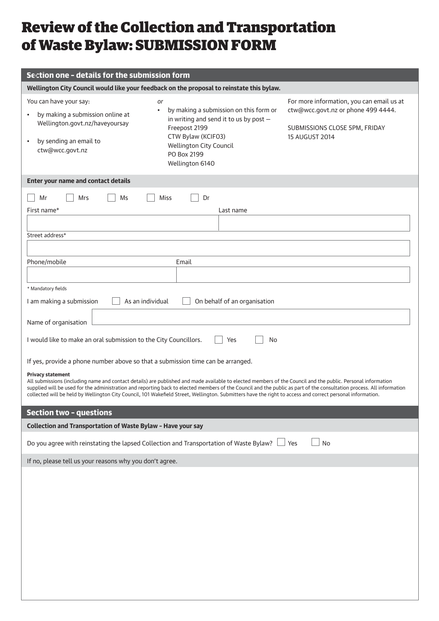# Review of the Collection and Transportation of Waste Bylaw: SUBMISSION FORM

| Section one - details for the submission form                                                                                                                                                                                                                                                                                                                                                                                                                                                                                   |                                                                                                   |                                                                     |  |  |  |  |
|---------------------------------------------------------------------------------------------------------------------------------------------------------------------------------------------------------------------------------------------------------------------------------------------------------------------------------------------------------------------------------------------------------------------------------------------------------------------------------------------------------------------------------|---------------------------------------------------------------------------------------------------|---------------------------------------------------------------------|--|--|--|--|
| Wellington City Council would like your feedback on the proposal to reinstate this bylaw.                                                                                                                                                                                                                                                                                                                                                                                                                                       |                                                                                                   |                                                                     |  |  |  |  |
| You can have your say:<br>or                                                                                                                                                                                                                                                                                                                                                                                                                                                                                                    |                                                                                                   | For more information, you can email us at                           |  |  |  |  |
| $\bullet$<br>by making a submission online at<br>Wellington.govt.nz/haveyoursay                                                                                                                                                                                                                                                                                                                                                                                                                                                 | by making a submission on this form or<br>in writing and send it to us by post -<br>Freepost 2199 | ctw@wcc.govt.nz or phone 499 4444.<br>SUBMISSIONS CLOSE 5PM, FRIDAY |  |  |  |  |
| by sending an email to                                                                                                                                                                                                                                                                                                                                                                                                                                                                                                          | CTW Bylaw (KCIFO3)                                                                                | 15 AUGUST 2014                                                      |  |  |  |  |
| ctw@wcc.govt.nz                                                                                                                                                                                                                                                                                                                                                                                                                                                                                                                 | <b>Wellington City Council</b><br>PO Box 2199<br>Wellington 6140                                  |                                                                     |  |  |  |  |
|                                                                                                                                                                                                                                                                                                                                                                                                                                                                                                                                 |                                                                                                   |                                                                     |  |  |  |  |
| Enter your name and contact details                                                                                                                                                                                                                                                                                                                                                                                                                                                                                             |                                                                                                   |                                                                     |  |  |  |  |
| Mrs<br>Ms<br>Mr                                                                                                                                                                                                                                                                                                                                                                                                                                                                                                                 | Dr<br><b>Miss</b>                                                                                 |                                                                     |  |  |  |  |
| First name*                                                                                                                                                                                                                                                                                                                                                                                                                                                                                                                     | Last name                                                                                         |                                                                     |  |  |  |  |
|                                                                                                                                                                                                                                                                                                                                                                                                                                                                                                                                 |                                                                                                   |                                                                     |  |  |  |  |
| Street address*                                                                                                                                                                                                                                                                                                                                                                                                                                                                                                                 |                                                                                                   |                                                                     |  |  |  |  |
|                                                                                                                                                                                                                                                                                                                                                                                                                                                                                                                                 |                                                                                                   |                                                                     |  |  |  |  |
| Phone/mobile                                                                                                                                                                                                                                                                                                                                                                                                                                                                                                                    | Email                                                                                             |                                                                     |  |  |  |  |
|                                                                                                                                                                                                                                                                                                                                                                                                                                                                                                                                 |                                                                                                   |                                                                     |  |  |  |  |
| * Mandatory fields                                                                                                                                                                                                                                                                                                                                                                                                                                                                                                              |                                                                                                   |                                                                     |  |  |  |  |
| On behalf of an organisation<br>I am making a submission<br>As an individual                                                                                                                                                                                                                                                                                                                                                                                                                                                    |                                                                                                   |                                                                     |  |  |  |  |
|                                                                                                                                                                                                                                                                                                                                                                                                                                                                                                                                 |                                                                                                   |                                                                     |  |  |  |  |
| Name of organisation                                                                                                                                                                                                                                                                                                                                                                                                                                                                                                            |                                                                                                   |                                                                     |  |  |  |  |
| I would like to make an oral submission to the City Councillors.                                                                                                                                                                                                                                                                                                                                                                                                                                                                | Yes<br>No                                                                                         |                                                                     |  |  |  |  |
| If yes, provide a phone number above so that a submission time can be arranged.                                                                                                                                                                                                                                                                                                                                                                                                                                                 |                                                                                                   |                                                                     |  |  |  |  |
| <b>Privacy statement</b><br>All submissions (including name and contact details) are published and made available to elected members of the Council and the public. Personal information<br>supplied will be used for the administration and reporting back to elected members of the Council and the public as part of the consultation process. All information<br>collected will be held by Wellington City Council, 101 Wakefield Street, Wellington. Submitters have the right to access and correct personal information. |                                                                                                   |                                                                     |  |  |  |  |
|                                                                                                                                                                                                                                                                                                                                                                                                                                                                                                                                 |                                                                                                   |                                                                     |  |  |  |  |
| <b>Section two - questions</b>                                                                                                                                                                                                                                                                                                                                                                                                                                                                                                  |                                                                                                   |                                                                     |  |  |  |  |
| Collection and Transportation of Waste Bylaw - Have your say                                                                                                                                                                                                                                                                                                                                                                                                                                                                    |                                                                                                   |                                                                     |  |  |  |  |
| Do you agree with reinstating the lapsed Collection and Transportation of Waste Bylaw?<br>No<br>Yes                                                                                                                                                                                                                                                                                                                                                                                                                             |                                                                                                   |                                                                     |  |  |  |  |
| If no, please tell us your reasons why you don't agree.                                                                                                                                                                                                                                                                                                                                                                                                                                                                         |                                                                                                   |                                                                     |  |  |  |  |
|                                                                                                                                                                                                                                                                                                                                                                                                                                                                                                                                 |                                                                                                   |                                                                     |  |  |  |  |
|                                                                                                                                                                                                                                                                                                                                                                                                                                                                                                                                 |                                                                                                   |                                                                     |  |  |  |  |
|                                                                                                                                                                                                                                                                                                                                                                                                                                                                                                                                 |                                                                                                   |                                                                     |  |  |  |  |
|                                                                                                                                                                                                                                                                                                                                                                                                                                                                                                                                 |                                                                                                   |                                                                     |  |  |  |  |
|                                                                                                                                                                                                                                                                                                                                                                                                                                                                                                                                 |                                                                                                   |                                                                     |  |  |  |  |
|                                                                                                                                                                                                                                                                                                                                                                                                                                                                                                                                 |                                                                                                   |                                                                     |  |  |  |  |
|                                                                                                                                                                                                                                                                                                                                                                                                                                                                                                                                 |                                                                                                   |                                                                     |  |  |  |  |
|                                                                                                                                                                                                                                                                                                                                                                                                                                                                                                                                 |                                                                                                   |                                                                     |  |  |  |  |
|                                                                                                                                                                                                                                                                                                                                                                                                                                                                                                                                 |                                                                                                   |                                                                     |  |  |  |  |
|                                                                                                                                                                                                                                                                                                                                                                                                                                                                                                                                 |                                                                                                   |                                                                     |  |  |  |  |